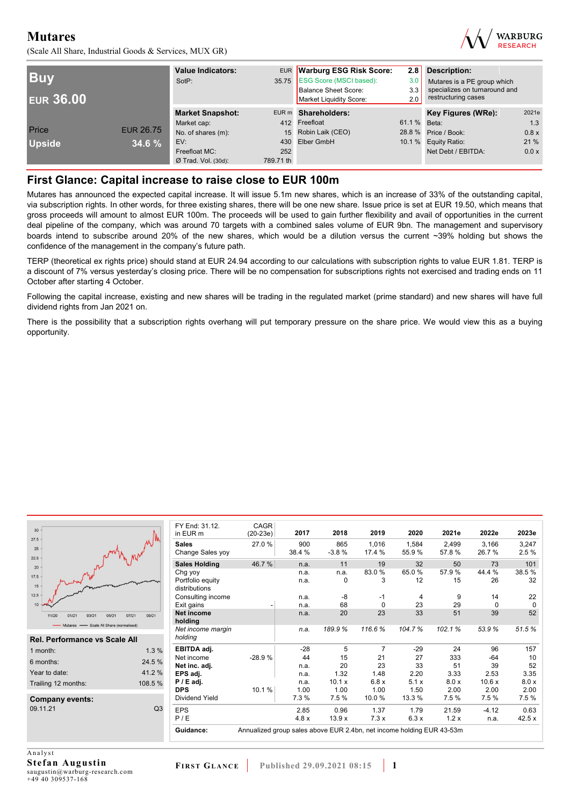(Scale All Share, Industrial Goods & Services, MUX GR)



| <b>Buy</b><br><b>EUR 36.00</b> |                  | <b>Value Indicators:</b><br>SotP: |           | EUR Warburg ESG Risk Score:<br>2.8<br>35.75 ESG Score (MSCI based):<br>3.0<br><b>Balance Sheet Score:</b><br>3.3<br>Market Liquidity Score:<br>2.0 |              | Description:<br>Mutares is a PE group which<br>specializes on turnaround and<br>restructuring cases |       |  |
|--------------------------------|------------------|-----------------------------------|-----------|----------------------------------------------------------------------------------------------------------------------------------------------------|--------------|-----------------------------------------------------------------------------------------------------|-------|--|
|                                |                  | <b>Market Snapshot:</b>           |           | EUR m Shareholders:                                                                                                                                |              | Key Figures (WRe):                                                                                  | 2021e |  |
|                                |                  | Market cap:                       |           | 412 Freefloat                                                                                                                                      | 61.1 % Beta: |                                                                                                     | 1.3   |  |
| Price                          | <b>EUR 26.75</b> | No. of shares (m):                |           | 15 Robin Laik (CEO)                                                                                                                                |              | 28.8 % Price / Book:                                                                                | 0.8 x |  |
| <b>Upside</b>                  | 34.6%            | EV:                               |           | 430 Elber GmbH                                                                                                                                     |              | 10.1 % Equity Ratio:                                                                                | 21%   |  |
|                                |                  | Freefloat MC:                     | 252       |                                                                                                                                                    |              | Net Debt / EBITDA:                                                                                  | 0.0 x |  |
|                                |                  | $Ø$ Trad. Vol. (30d):             | 789.71 th |                                                                                                                                                    |              |                                                                                                     |       |  |

## **First Glance: Capital increase to raise close to EUR 100m**

Mutares has announced the expected capital increase. It will issue 5.1m new shares, which is an increase of 33% of the outstanding capital, via subscription rights. In other words, for three existing shares, there will be one new share. Issue price is set at EUR 19.50, which means that gross proceeds will amount to almost EUR 100m. The proceeds will be used to gain further flexibility and avail of opportunities in the current deal pipeline of the company, which was around 70 targets with a combined sales volume of EUR 9bn. The management and supervisory boards intend to subscribe around 20% of the new shares, which would be a dilution versus the current ~39% holding but shows the confidence of the management in the company's future path.

TERP (theoretical ex rights price) should stand at EUR 24.94 according to our calculations with subscription rights to value EUR 1.81. TERP is a discount of 7% versus yesterday's closing price. There will be no compensation for subscriptions rights not exercised and trading ends on 11 October after starting 4 October.

Following the capital increase, existing and new shares will be trading in the regulated market (prime standard) and new shares will have full dividend rights from Jan 2021 on.

There is the possibility that a subscription rights overhang will put temporary pressure on the share price. We would view this as a buying opportunity.

| $30 -$<br>$27.5 -$<br>$25 -$<br>$22.5 -$<br>20<br>$17.5 -$<br>$15 -$<br>12.5<br>10 |       |         |                                      |                              |       |        |
|------------------------------------------------------------------------------------|-------|---------|--------------------------------------|------------------------------|-------|--------|
|                                                                                    | 11/20 | 01/21   | 03/21                                | 05/21                        | 07/21 | 09/21  |
|                                                                                    |       | Mutares |                                      | Scale All Share (normalised) |       |        |
|                                                                                    |       |         | <b>Rel. Performance vs Scale All</b> |                              |       |        |
|                                                                                    |       |         |                                      |                              |       |        |
| 1 month:                                                                           |       |         |                                      |                              |       | 1.3%   |
| 6 months:                                                                          |       |         |                                      |                              |       | 24.5 % |

| 6 months:                          | 24.5%    |
|------------------------------------|----------|
| Year to date:                      | 41 $2\%$ |
| Trailing 12 months:                | 108.5%   |
| <b>Company events:</b><br>09.11.21 |          |
|                                    |          |

| FY End: 31.12.<br>in EUR <sub>m</sub> | CAGR<br>$(20-23e)$ | 2017          | 2018           | 2019            | 2020           | 2021e          | 2022e          | 2023e         |
|---------------------------------------|--------------------|---------------|----------------|-----------------|----------------|----------------|----------------|---------------|
| <b>Sales</b><br>Change Sales yoy      | 27.0%              | 900<br>38.4 % | 865<br>$-3.8%$ | 1,016<br>17.4 % | 1.584<br>55.9% | 2.499<br>57.8% | 3,166<br>26.7% | 3,247<br>2.5% |
| <b>Sales Holding</b>                  | 46.7%              | n.a.          | 11             | 19              | 32             | 50             | 73             | 101           |
| Chg yoy                               |                    | n.a.          | n.a.           | 83.0%           | 65.0%          | 57.9%          | 44.4 %         | 38.5%         |
| Portfolio equity<br>distributions     |                    | n.a.          | 0              | 3               | 12             | 15             | 26             | 32            |
| Consulting income                     |                    | n.a.          | $-8$           | $-1$            | 4              | 9              | 14             | 22            |
| Exit gains                            |                    | n.a.          | 68             | $\Omega$        | 23             | 29             | $\Omega$       | 0             |
| <b>Net income</b><br>holding          |                    | n.a.          | 20             | 23              | 33             | 51             | 39             | 52            |
| Net income margin<br>holding          |                    | n.a.          | 189.9%         | 116.6%          | 104.7%         | 102.1%         | 53.9%          | 51.5%         |
| EBITDA adj.                           |                    | $-28$         | 5              | 7               | $-29$          | 24             | 96             | 157           |
| Net income                            | $-28.9%$           | 44            | 15             | 21              | 27             | 333            | $-64$          | 10            |
| Net inc. adi.                         |                    | n.a.          | 20             | 23              | 33             | 51             | 39             | 52            |
| EPS adj.                              |                    | n.a.          | 1.32           | 1.48            | 2.20           | 3.33           | 2.53           | 3.35          |
| $P / E$ adj.                          |                    | n.a.          | 10.1 x         | 6.8x            | 5.1x           | 8.0 x          | 10.6x          | 8.0 x         |
| <b>DPS</b>                            | 10.1%              | 1.00          | 1.00           | 1.00            | 1.50           | 2.00           | 2.00           | 2.00          |
| Dividend Yield                        |                    | 7.3%          | 7.5%           | 10.0%           | 13.3 %         | 7.5%           | 7.5%           | 7.5%          |
| <b>EPS</b>                            |                    | 2.85          | 0.96           | 1.37            | 1.79           | 21.59          | $-4.12$        | 0.63          |
| P/E                                   |                    | 4.8x          | 13.9x          | 7.3x            | 6.3x           | 1.2x           | n.a.           | 42.5x         |

A nalvst **Stefan Augustin**  saugustin@warburg-research.com +49 40 309537-168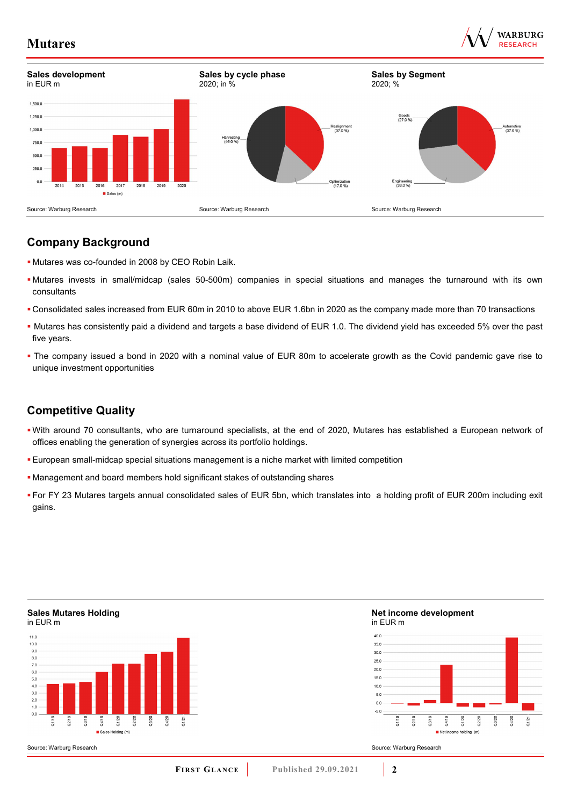



# **Company Background**

- Mutares was co-founded in 2008 by CEO Robin Laik.
- Mutares invests in small/midcap (sales 50-500m) companies in special situations and manages the turnaround with its own consultants
- Consolidated sales increased from EUR 60m in 2010 to above EUR 1.6bn in 2020 as the company made more than 70 transactions
- Mutares has consistently paid a dividend and targets a base dividend of EUR 1.0. The dividend yield has exceeded 5% over the past five years.
- The company issued a bond in 2020 with a nominal value of EUR 80m to accelerate growth as the Covid pandemic gave rise to unique investment opportunities

# **Competitive Quality**

- With around 70 consultants, who are turnaround specialists, at the end of 2020, Mutares has established a European network of offices enabling the generation of synergies across its portfolio holdings.
- European small-midcap special situations management is a niche market with limited competition
- Management and board members hold significant stakes of outstanding shares
- For FY 23 Mutares targets annual consolidated sales of EUR 5bn, which translates into a holding profit of EUR 200m including exit gains.

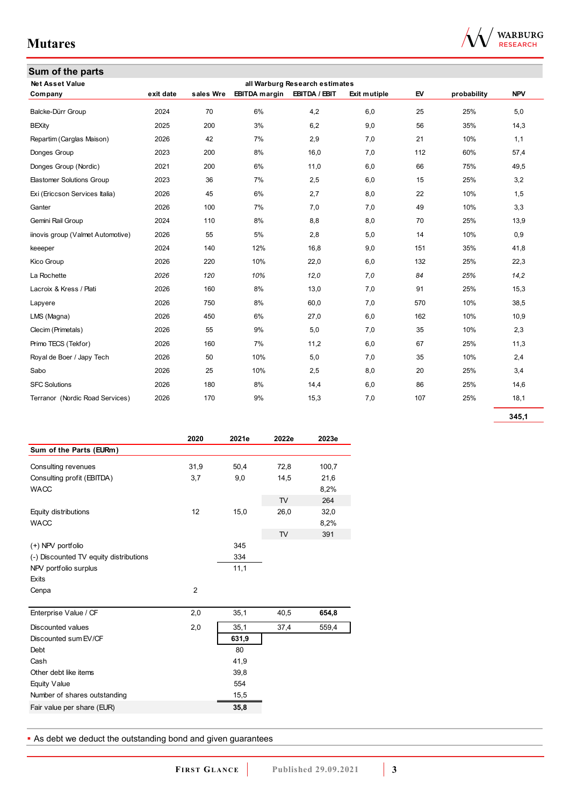| Sum of the parts                  |           |           |                      |                                |              |     |             |            |
|-----------------------------------|-----------|-----------|----------------------|--------------------------------|--------------|-----|-------------|------------|
| <b>Net Asset Value</b>            |           |           |                      | all Warburg Research estimates |              |     |             |            |
| Company                           | exit date | sales Wre | <b>EBITDA</b> margin | EBITDA / EBIT                  | Exit mutiple | EV  | probability | <b>NPV</b> |
| Balcke-Dürr Group                 | 2024      | 70        | 6%                   | 4,2                            | 6,0          | 25  | 25%         | 5,0        |
| <b>BEXity</b>                     | 2025      | 200       | 3%                   | 6,2                            | 9,0          | 56  | 35%         | 14,3       |
| Repartim (Carglas Maison)         | 2026      | 42        | 7%                   | 2,9                            | 7,0          | 21  | 10%         | 1,1        |
| Donges Group                      | 2023      | 200       | 8%                   | 16,0                           | 7,0          | 112 | 60%         | 57,4       |
| Donges Group (Nordic)             | 2021      | 200       | 6%                   | 11,0                           | 6,0          | 66  | 75%         | 49,5       |
| <b>Elastomer Solutions Group</b>  | 2023      | 36        | 7%                   | 2,5                            | 6,0          | 15  | 25%         | 3,2        |
| Exi (Ericcson Services Italia)    | 2026      | 45        | 6%                   | 2,7                            | 8,0          | 22  | 10%         | 1,5        |
| Ganter                            | 2026      | 100       | 7%                   | 7,0                            | 7,0          | 49  | 10%         | 3,3        |
| Gemini Rail Group                 | 2024      | 110       | 8%                   | 8,8                            | 8,0          | 70  | 25%         | 13,9       |
| iinovis group (Valmet Automotive) | 2026      | 55        | 5%                   | 2,8                            | 5,0          | 14  | 10%         | 0,9        |
| keeeper                           | 2024      | 140       | 12%                  | 16,8                           | 9,0          | 151 | 35%         | 41,8       |
| Kico Group                        | 2026      | 220       | 10%                  | 22,0                           | 6,0          | 132 | 25%         | 22,3       |
| La Rochette                       | 2026      | 120       | 10%                  | 12,0                           | 7,0          | 84  | 25%         | 14,2       |
| Lacroix & Kress / Plati           | 2026      | 160       | 8%                   | 13,0                           | 7,0          | 91  | 25%         | 15,3       |
| Lapyere                           | 2026      | 750       | 8%                   | 60,0                           | 7,0          | 570 | 10%         | 38,5       |
| LMS (Magna)                       | 2026      | 450       | 6%                   | 27,0                           | 6,0          | 162 | 10%         | 10,9       |
| Clecim (Primetals)                | 2026      | 55        | 9%                   | 5,0                            | 7,0          | 35  | 10%         | 2,3        |
| Primo TECS (Tekfor)               | 2026      | 160       | 7%                   | 11,2                           | 6,0          | 67  | 25%         | 11,3       |
| Royal de Boer / Japy Tech         | 2026      | 50        | 10%                  | 5,0                            | 7,0          | 35  | 10%         | 2,4        |
| Sabo                              | 2026      | 25        | 10%                  | 2,5                            | 8,0          | 20  | 25%         | 3,4        |
| <b>SFC Solutions</b>              | 2026      | 180       | 8%                   | 14,4                           | 6,0          | 86  | 25%         | 14,6       |
| Terranor (Nordic Road Services)   | 2026      | 170       | 9%                   | 15,3                           | 7,0          | 107 | 25%         | 18,1       |

**345,1**

|                                        | 2020           | 2021e | 2022e          | 2023e |
|----------------------------------------|----------------|-------|----------------|-------|
| Sum of the Parts (EURm)                |                |       |                |       |
| Consulting revenues                    | 31,9           | 50,4  | 72,8           | 100,7 |
| Consulting profit (EBITDA)             | 3,7            | 9,0   | 14,5           | 21,6  |
| <b>WACC</b>                            |                |       |                | 8,2%  |
|                                        |                |       | T <sub>V</sub> | 264   |
| Equity distributions                   | 12             | 15,0  | 26,0           | 32,0  |
| <b>WACC</b>                            |                |       |                | 8,2%  |
|                                        |                |       | <b>TV</b>      | 391   |
| (+) NPV portfolio                      |                | 345   |                |       |
| (-) Discounted TV equity distributions |                | 334   |                |       |
| NPV portfolio surplus                  |                | 11,1  |                |       |
| Exits                                  |                |       |                |       |
| Cenpa                                  | $\overline{2}$ |       |                |       |
| Enterprise Value / CF                  | 2,0            | 35,1  | 40,5           | 654,8 |
| <b>Discounted values</b>               | 2,0            | 35,1  | 37,4           | 559,4 |
| Discounted sum EV/CF                   |                | 631,9 |                |       |
| Debt                                   |                | 80    |                |       |
| Cash                                   |                | 41,9  |                |       |
| Other debt like items                  |                | 39,8  |                |       |
| <b>Equity Value</b>                    |                | 554   |                |       |
| Number of shares outstanding           |                | 15,5  |                |       |
| Fair value per share (EUR)             |                | 35,8  |                |       |
|                                        |                |       |                |       |

As debt we deduct the outstanding bond and given guarantees

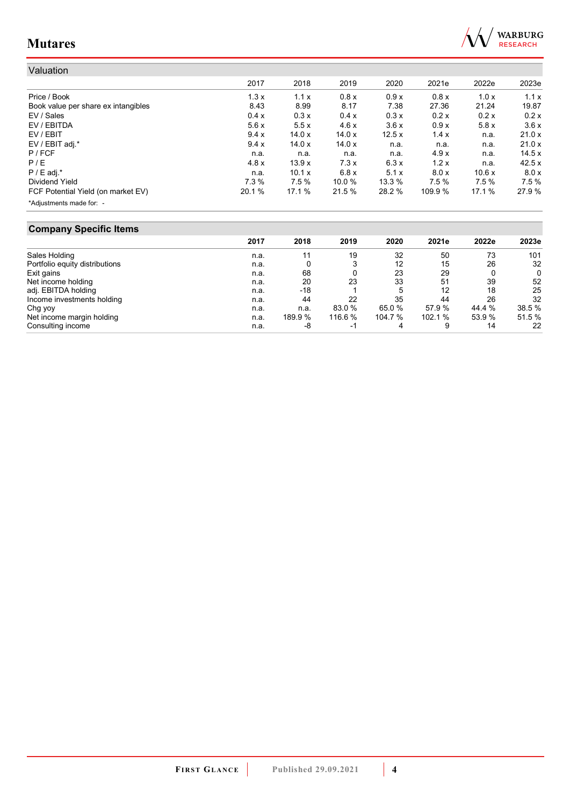

| Valuation                           |        |               |        |        |         |        |        |
|-------------------------------------|--------|---------------|--------|--------|---------|--------|--------|
|                                     | 2017   | 2018          | 2019   | 2020   | 2021e   | 2022e  | 2023e  |
| Price / Book                        | 1.3x   | 1.1x          | 0.8x   | 0.9x   | 0.8x    | 1.0x   | 1.1x   |
| Book value per share ex intangibles | 8.43   | 8.99          | 8.17   | 7.38   | 27.36   | 21.24  | 19.87  |
| EV / Sales                          | 0.4 x  | 0.3x          | 0.4 x  | 0.3x   | 0.2 x   | 0.2x   | 0.2x   |
| EV / EBITDA                         | 5.6x   | 5.5x          | 4.6x   | 3.6x   | 0.9x    | 5.8x   | 3.6x   |
| EV / EBIT                           | 9.4x   | 14.0x         | 14.0x  | 12.5x  | 1.4x    | n.a.   | 21.0x  |
| EV / EBIT adj.*                     | 9.4 x  | 14.0x         | 14.0x  | n.a.   | n.a.    | n.a.   | 21.0x  |
| $P$ / FCF                           | n.a.   | n.a.          | n.a.   | n.a.   | 4.9x    | n.a.   | 14.5x  |
| P/E                                 | 4.8x   | 13.9x         | 7.3x   | 6.3x   | 1.2x    | n.a.   | 42.5x  |
| $P / E$ adj.*                       | n.a.   | 10.1 $\times$ | 6.8x   | 5.1x   | 8.0 x   | 10.6x  | 8.0 x  |
| Dividend Yield                      | 7.3%   | 7.5%          | 10.0 % | 13.3 % | 7.5%    | 7.5%   | 7.5%   |
| FCF Potential Yield (on market EV)  | 20.1 % | 17.1 %        | 21.5 % | 28.2 % | 109.9 % | 17.1 % | 27.9 % |
| *Adjustments made for: -            |        |               |        |        |         |        |        |

## **Company Specific Items**

|                                | 2017 | 2018    | 2019   | 2020    | 2021e   | 2022e  | 2023e  |
|--------------------------------|------|---------|--------|---------|---------|--------|--------|
| Sales Holding                  | n.a. |         | 19     | 32      | 50      | 73     | 101    |
| Portfolio equity distributions | n.a. |         |        | 12      | 15      | 26     | 32     |
| Exit gains                     | n.a. | 68      |        | 23      | 29      |        | 0      |
| Net income holding             | n.a. | 20      | 23     | 33      | 51      | 39     | 52     |
| adj. EBITDA holding            | n.a. | $-18$   |        | 5       | 12      | 18     | 25     |
| Income investments holding     | n.a. | 44      | 22     | 35      | 44      | 26     | 32     |
| Chg yoy                        | n.a. | n.a.    | 83.0 % | 65.0 %  | 57.9 %  | 44.4 % | 38.5 % |
| Net income margin holding      | n.a. | 189.9 % | 116.6% | 104.7 % | 102.1 % | 53.9 % | 51.5 % |
| Consulting income              | n.a. | -8      | - 1    | 4       | 9       | 14     | 22     |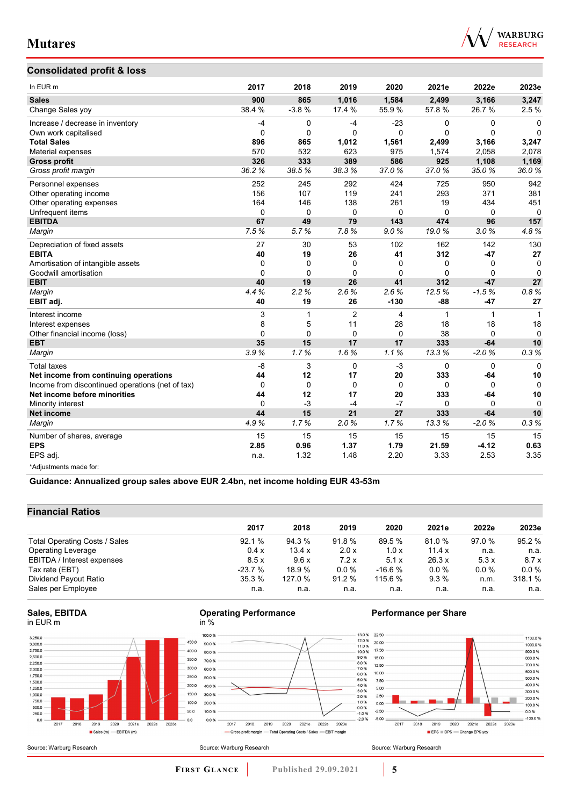

## **Consolidated profit & loss**

| In EUR m                                         | 2017     | 2018        | 2019           | 2020         | 2021e    | 2022e        | 2023e    |
|--------------------------------------------------|----------|-------------|----------------|--------------|----------|--------------|----------|
| <b>Sales</b>                                     | 900      | 865         | 1,016          | 1,584        | 2,499    | 3,166        | 3,247    |
| Change Sales yoy                                 | 38.4 %   | $-3.8%$     | 17.4 %         | 55.9%        | 57.8 %   | 26.7%        | 2.5%     |
| Increase / decrease in inventory                 | $-4$     | 0           | $-4$           | $-23$        | 0        | 0            | $\Omega$ |
| Own work capitalised                             | $\Omega$ | $\Omega$    | $\Omega$       | $\mathbf{0}$ | $\Omega$ | $\mathbf 0$  | $\Omega$ |
| <b>Total Sales</b>                               | 896      | 865         | 1.012          | 1,561        | 2.499    | 3,166        | 3,247    |
| Material expenses                                | 570      | 532         | 623            | 975          | 1,574    | 2,058        | 2,078    |
| <b>Gross profit</b>                              | 326      | 333         | 389            | 586          | 925      | 1,108        | 1,169    |
| Gross profit margin                              | 36.2%    | 38.5%       | 38.3%          | 37.0%        | 37.0%    | 35.0%        | 36.0%    |
| Personnel expenses                               | 252      | 245         | 292            | 424          | 725      | 950          | 942      |
| Other operating income                           | 156      | 107         | 119            | 241          | 293      | 371          | 381      |
| Other operating expenses                         | 164      | 146         | 138            | 261          | 19       | 434          | 451      |
| Unfrequent items                                 | 0        | $\mathbf 0$ | $\mathbf 0$    | $\mathbf 0$  | 0        | $\mathbf 0$  | $\Omega$ |
| <b>EBITDA</b>                                    | 67       | 49          | 79             | 143          | 474      | 96           | 157      |
| Margin                                           | 7.5%     | 5.7%        | 7.8%           | 9.0%         | 19.0%    | 3.0%         | 4.8%     |
| Depreciation of fixed assets                     | 27       | 30          | 53             | 102          | 162      | 142          | 130      |
| <b>EBITA</b>                                     | 40       | 19          | 26             | 41           | 312      | $-47$        | 27       |
| Amortisation of intangible assets                | 0        | $\Omega$    | 0              | 0            | 0        | 0            | 0        |
| Goodwill amortisation                            | $\Omega$ | $\Omega$    | $\Omega$       | $\mathbf{0}$ | $\Omega$ | $\Omega$     | $\Omega$ |
| <b>EBIT</b>                                      | 40       | 19          | 26             | 41           | 312      | $-47$        | 27       |
| Margin                                           | 4.4%     | 2.2%        | 2.6%           | 2.6%         | 12.5%    | $-1.5%$      | 0.8%     |
| EBIT adj.                                        | 40       | 19          | 26             | $-130$       | $-88$    | $-47$        | 27       |
| Interest income                                  | 3        | 1           | $\overline{2}$ | 4            | 1        | $\mathbf{1}$ | 1        |
| Interest expenses                                | 8        | 5           | 11             | 28           | 18       | 18           | 18       |
| Other financial income (loss)                    | 0        | $\Omega$    | $\Omega$       | $\Omega$     | 38       | $\Omega$     | $\Omega$ |
| <b>EBT</b>                                       | 35       | 15          | 17             | 17           | 333      | $-64$        | 10       |
| Margin                                           | 3.9%     | 1.7%        | 1.6%           | 1.1%         | 13.3%    | $-2.0%$      | 0.3%     |
| <b>Total taxes</b>                               | $-8$     | 3           | $\Omega$       | $-3$         | $\Omega$ | $\Omega$     | $\Omega$ |
| Net income from continuing operations            | 44       | 12          | 17             | 20           | 333      | $-64$        | 10       |
| Income from discontinued operations (net of tax) | 0        | $\Omega$    | $\mathbf 0$    | $\mathbf 0$  | 0        | $\Omega$     | $\Omega$ |
| Net income before minorities                     | 44       | 12          | 17             | 20           | 333      | $-64$        | 10       |
| Minority interest                                | $\Omega$ | $-3$        | $-4$           | $-7$         | 0        | $\Omega$     | $\Omega$ |
| <b>Net income</b>                                | 44       | 15          | 21             | 27           | 333      | $-64$        | 10       |
| Margin                                           | 4.9%     | 1.7%        | 2.0%           | 1.7%         | 13.3%    | $-2.0%$      | 0.3%     |
| Number of shares, average                        | 15       | 15          | 15             | 15           | 15       | 15           | 15       |
| <b>EPS</b>                                       | 2.85     | 0.96        | 1.37           | 1.79         | 21.59    | $-4.12$      | 0.63     |
| EPS adj.                                         | n.a.     | 1.32        | 1.48           | 2.20         | 3.33     | 2.53         | 3.35     |
| *Adjustments made for:                           |          |             |                |              |          |              |          |

**Guidance: Annualized group sales above EUR 2.4bn, net income holding EUR 43-53m**

100.0%

90.0%

80.0%

70.0%

60.0%

50.0 %

40.0%

30.0%

20.0%

10.0%

 $0.0 %$ 

## **Financial Ratios**

| 2017     | 2018    | 2019    | 2020     | 2021e  | 2022e  | 2023e    |
|----------|---------|---------|----------|--------|--------|----------|
| 92.1%    | 94.3 %  | 91.8 %  | 89.5 %   | 81.0%  | 97.0 % | 95.2%    |
| 0.4x     | 13.4 x  | 2.0 x   | 1.0x     | 11.4 x | n.a.   | n.a.     |
| 8.5x     | 9.6x    | 7.2x    | 5.1x     | 26.3 x | 5.3x   | 8.7 x    |
| $-23.7%$ | 18.9%   | $0.0\%$ | $-16.6%$ | 0.0%   | 0.0%   | $0.0 \%$ |
| 35.3%    | 127.0 % | 91.2 %  | 115.6 %  | 9.3%   | n.m.   | 318.1 %  |
| n.a.     | n.a.    | n.a.    | n.a.     | n.a.   | n.a.   | n.a.     |
|          |         |         |          |        |        |          |





#### **Operating Performance** in %



## **Performance per Share**

1100.0%

100.0 %

 $800.0%$ <br>700.0 %

600.0%

500.0%

400.0 %<br>400.0 %

200.0 %

 $0.0%$ 

 $-100.0%$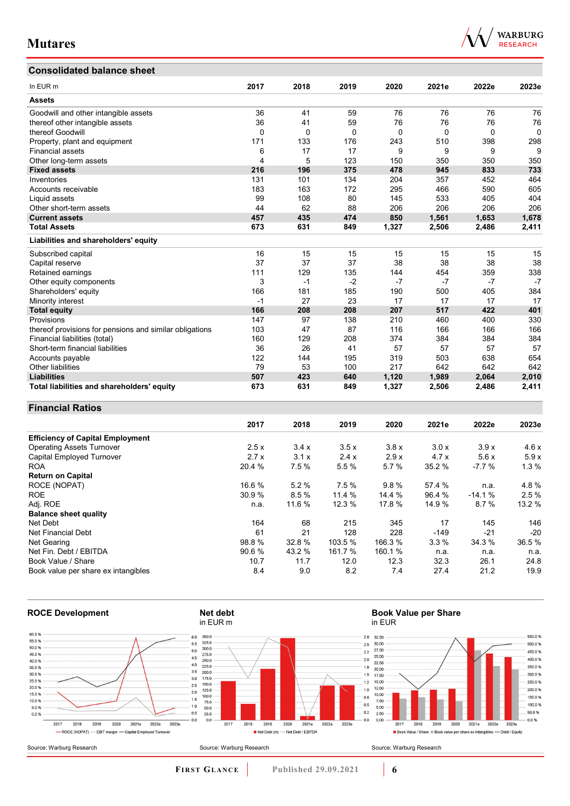# **Consolidated balance sheet**

| In EUR <sub>m</sub>                                     | 2017 | 2018 | 2019 | 2020  | 2021e | 2022e | 2023e |
|---------------------------------------------------------|------|------|------|-------|-------|-------|-------|
| <b>Assets</b>                                           |      |      |      |       |       |       |       |
|                                                         |      |      |      |       |       |       |       |
| Goodwill and other intangible assets                    | 36   | 41   | 59   | 76    | 76    | 76    | 76    |
| thereof other intangible assets                         | 36   | 41   | 59   | 76    | 76    | 76    | 76    |
| thereof Goodwill                                        | 0    | 0    | 0    | 0     | 0     | 0     | 0     |
| Property, plant and equipment                           | 171  | 133  | 176  | 243   | 510   | 398   | 298   |
| <b>Financial assets</b>                                 | 6    | 17   | 17   | 9     | 9     | 9     | 9     |
| Other long-term assets                                  | 4    | 5    | 123  | 150   | 350   | 350   | 350   |
| <b>Fixed assets</b>                                     | 216  | 196  | 375  | 478   | 945   | 833   | 733   |
| Inventories                                             | 131  | 101  | 134  | 204   | 357   | 452   | 464   |
| Accounts receivable                                     | 183  | 163  | 172  | 295   | 466   | 590   | 605   |
| Liquid assets                                           | 99   | 108  | 80   | 145   | 533   | 405   | 404   |
| Other short-term assets                                 | 44   | 62   | 88   | 206   | 206   | 206   | 206   |
| <b>Current assets</b>                                   | 457  | 435  | 474  | 850   | 1,561 | 1,653 | 1,678 |
| <b>Total Assets</b>                                     | 673  | 631  | 849  | 1,327 | 2,506 | 2,486 | 2,411 |
| Liabilities and shareholders' equity                    |      |      |      |       |       |       |       |
| Subscribed capital                                      | 16   | 15   | 15   | 15    | 15    | 15    | 15    |
| Capital reserve                                         | 37   | 37   | 37   | 38    | 38    | 38    | 38    |
| Retained earnings                                       | 111  | 129  | 135  | 144   | 454   | 359   | 338   |
| Other equity components                                 | 3    | $-1$ | $-2$ | $-7$  | $-7$  | $-7$  | $-7$  |
| Shareholders' equity                                    | 166  | 181  | 185  | 190   | 500   | 405   | 384   |
| Minority interest                                       | $-1$ | 27   | 23   | 17    | 17    | 17    | 17    |
| <b>Total equity</b>                                     | 166  | 208  | 208  | 207   | 517   | 422   | 401   |
| Provisions                                              | 147  | 97   | 138  | 210   | 460   | 400   | 330   |
| thereof provisions for pensions and similar obligations | 103  | 47   | 87   | 116   | 166   | 166   | 166   |
| Financial liabilities (total)                           | 160  | 129  | 208  | 374   | 384   | 384   | 384   |
| Short-term financial liabilities                        | 36   | 26   | 41   | 57    | 57    | 57    | 57    |
| Accounts payable                                        | 122  | 144  | 195  | 319   | 503   | 638   | 654   |
| <b>Other liabilities</b>                                | 79   | 53   | 100  | 217   | 642   | 642   | 642   |

## **Financial Ratios**

|                                         | 2017   | 2018   | 2019    | 2020    | 2021e  | 2022e    | 2023e  |
|-----------------------------------------|--------|--------|---------|---------|--------|----------|--------|
| <b>Efficiency of Capital Employment</b> |        |        |         |         |        |          |        |
| <b>Operating Assets Turnover</b>        | 2.5x   | 3.4x   | 3.5x    | 3.8x    | 3.0x   | 3.9x     | 4.6x   |
| Capital Employed Turnover               | 2.7x   | 3.1x   | 2.4x    | 2.9x    | 4.7x   | 5.6x     | 5.9x   |
| <b>ROA</b>                              | 20.4 % | 7.5 %  | 5.5 %   | 5.7%    | 35.2 % | $-7.7%$  | 1.3%   |
| <b>Return on Capital</b>                |        |        |         |         |        |          |        |
| ROCE (NOPAT)                            | 16.6 % | 5.2%   | 7.5%    | 9.8%    | 57.4 % | n.a.     | 4.8%   |
| <b>ROE</b>                              | 30.9 % | 8.5%   | 11.4%   | 14.4 %  | 96.4 % | $-14.1%$ | 2.5%   |
| Adj. ROE                                | n.a.   | 11.6 % | 12.3 %  | 17.8 %  | 14.9 % | 8.7%     | 13.2 % |
| <b>Balance sheet quality</b>            |        |        |         |         |        |          |        |
| Net Debt                                | 164    | 68     | 215     | 345     | 17     | 145      | 146    |
| Net Financial Debt                      | 61     | 21     | 128     | 228     | $-149$ | $-21$    | $-20$  |
| Net Gearing                             | 98.8%  | 32.8%  | 103.5 % | 166.3 % | 3.3%   | 34.3 %   | 36.5%  |
| Net Fin. Debt / EBITDA                  | 90.6%  | 43.2 % | 161.7 % | 160.1 % | n.a.   | n.a.     | n.a.   |
| Book Value / Share                      | 10.7   | 11.7   | 12.0    | 12.3    | 32.3   | 26.1     | 24.8   |
| Book value per share ex intangibles     | 8.4    | 9.0    | 8.2     | 7.4     | 27.4   | 21.2     | 19.9   |

Other liabilities 79 53 100 217 642 642 642 **Liabilities 507 423 640 1,120 1,989 2,064 2,010 Total liabilities and shareholders' equity 673 631 849 1,327 2,506 2,486 2,411**



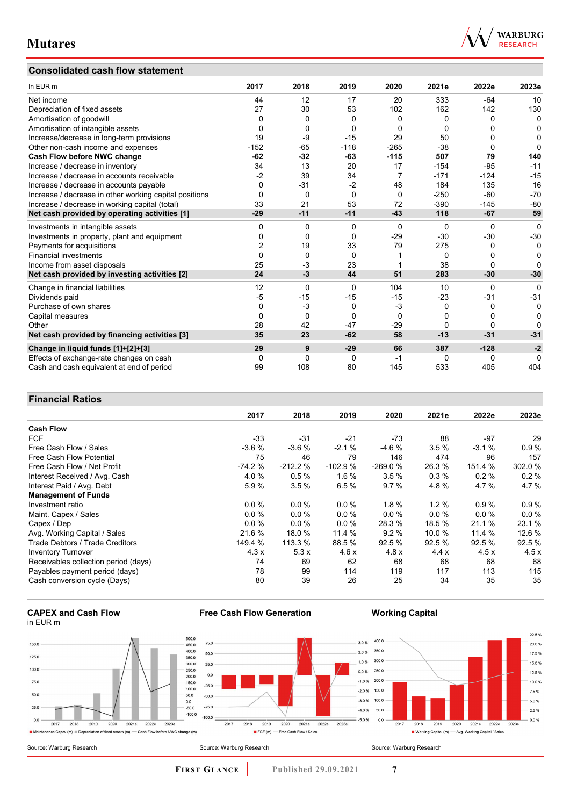## **Consolidated cash flow statement**



| In EUR m                                               | 2017           | 2018     | 2019     | 2020     | 2021e    | 2022e    | 2023e    |
|--------------------------------------------------------|----------------|----------|----------|----------|----------|----------|----------|
| Net income                                             | 44             | 12       | 17       | 20       | 333      | $-64$    | 10       |
| Depreciation of fixed assets                           | 27             | 30       | 53       | 102      | 162      | 142      | 130      |
| Amortisation of goodwill                               | 0              | 0        | 0        | 0        | 0        | 0        | 0        |
| Amortisation of intangible assets                      | 0              | 0        | 0        | 0        | 0        | O        | 0        |
| Increase/decrease in long-term provisions              | 19             | -9       | $-15$    | 29       | 50       | 0        | $\Omega$ |
| Other non-cash income and expenses                     | $-152$         | $-65$    | $-118$   | $-265$   | $-38$    | 0        | 0        |
| Cash Flow before NWC change                            | $-62$          | $-32$    | -63      | $-115$   | 507      | 79       | 140      |
| Increase / decrease in inventory                       | 34             | 13       | 20       | 17       | $-154$   | $-95$    | $-11$    |
| Increase / decrease in accounts receivable             | $-2$           | 39       | 34       | 7        | $-171$   | $-124$   | $-15$    |
| Increase / decrease in accounts payable                | 0              | $-31$    | $-2$     | 48       | 184      | 135      | 16       |
| Increase / decrease in other working capital positions | $\Omega$       | 0        | $\Omega$ | $\Omega$ | $-250$   | $-60$    | $-70$    |
| Increase / decrease in working capital (total)         | 33             | 21       | 53       | 72       | $-390$   | $-145$   | $-80$    |
| Net cash provided by operating activities [1]          | $-29$          | $-11$    | $-11$    | $-43$    | 118      | $-67$    | 59       |
| Investments in intangible assets                       | 0              | 0        | $\Omega$ | $\Omega$ | 0        | $\Omega$ | $\Omega$ |
| Investments in property, plant and equipment           | 0              | 0        | $\Omega$ | $-29$    | $-30$    | $-30$    | $-30$    |
| Payments for acquisitions                              | $\overline{2}$ | 19       | 33       | 79       | 275      | 0        | 0        |
| <b>Financial investments</b>                           | $\Omega$       | $\Omega$ | $\Omega$ |          | $\Omega$ | 0        | 0        |
| Income from asset disposals                            | 25             | $-3$     | 23       |          | 38       | 0        | O        |
| Net cash provided by investing activities [2]          | 24             | -3       | 44       | 51       | 283      | $-30$    | $-30$    |
| Change in financial liabilities                        | 12             | $\Omega$ | $\Omega$ | 104      | 10       | 0        | $\Omega$ |
| Dividends paid                                         | $-5$           | $-15$    | $-15$    | $-15$    | $-23$    | $-31$    | $-31$    |
| Purchase of own shares                                 | 0              | $-3$     | 0        | $-3$     | $\Omega$ | 0        | 0        |
| Capital measures                                       | $\Omega$       | 0        | $\Omega$ | $\Omega$ | 0        | 0        | 0        |
| Other                                                  | 28             | 42       | $-47$    | $-29$    | 0        | 0        | O        |
| Net cash provided by financing activities [3]          | 35             | 23       | $-62$    | 58       | $-13$    | $-31$    | $-31$    |
| Change in liquid funds [1]+[2]+[3]                     | 29             | 9        | $-29$    | 66       | 387      | $-128$   | $-2$     |
| Effects of exchange-rate changes on cash               | 0              | 0        | 0        | -1       | 0        | 0        | O        |
| Cash and cash equivalent at end of period              | 99             | 108      | 80       | 145      | 533      | 405      | 404      |

## **Financial Ratios**

|                                      | 2017     | 2018      | 2019      | 2020      | 2021e   | 2022e   | 2023e   |
|--------------------------------------|----------|-----------|-----------|-----------|---------|---------|---------|
| <b>Cash Flow</b>                     |          |           |           |           |         |         |         |
| <b>FCF</b>                           | -33      | $-31$     | $-21$     | $-73$     | 88      | $-97$   | 29      |
| Free Cash Flow / Sales               | $-3.6%$  | $-3.6%$   | $-2.1%$   | $-4.6%$   | 3.5%    | $-3.1%$ | 0.9%    |
| Free Cash Flow Potential             | 75       | 46        | 79        | 146       | 474     | 96      | 157     |
| Free Cash Flow / Net Profit          | $-74.2%$ | $-212.2%$ | $-102.9%$ | $-269.0%$ | 26.3 %  | 151.4 % | 302.0 % |
| Interest Received / Avg. Cash        | 4.0%     | 0.5%      | 1.6%      | 3.5%      | 0.3%    | 0.2%    | 0.2%    |
| Interest Paid / Avg. Debt            | 5.9%     | 3.5%      | 6.5%      | 9.7%      | 4.8%    | 4.7%    | 4.7%    |
| <b>Management of Funds</b>           |          |           |           |           |         |         |         |
| Investment ratio                     | $0.0\%$  | $0.0\%$   | 0.0%      | $1.8 \%$  | 1.2%    | 0.9%    | 0.9%    |
| Maint. Capex / Sales                 | $0.0\%$  | $0.0\%$   | $0.0\%$   | $0.0\%$   | $0.0\%$ | $0.0\%$ | 0.0%    |
| Capex / Dep                          | $0.0\%$  | $0.0\%$   | 0.0%      | 28.3 %    | 18.5 %  | 21.1 %  | 23.1 %  |
| Avg. Working Capital / Sales         | 21.6 %   | 18.0 %    | 11.4 %    | 9.2%      | 10.0%   | 11.4 %  | 12.6%   |
| Trade Debtors / Trade Creditors      | 149.4 %  | 113.3 %   | 88.5 %    | 92.5%     | 92.5 %  | 92.5 %  | 92.5 %  |
| <b>Inventory Turnover</b>            | 4.3x     | 5.3x      | 4.6x      | 4.8x      | 4.4x    | 4.5x    | 4.5x    |
| Receivables collection period (days) | 74       | 69        | 62        | 68        | 68      | 68      | 68      |
| Payables payment period (days)       | 78       | 99        | 114       | 119       | 117     | 113     | 115     |
| Cash conversion cycle (Days)         | 80       | 39        | 26        | 25        | 34      | 35      | 35      |





**Free Cash Flow Generation**

**Working Capital**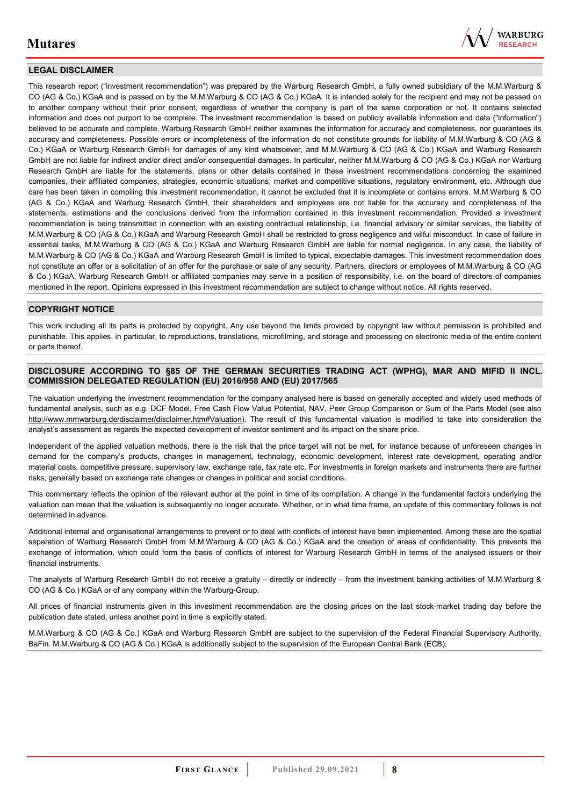

## **LEGAL DISCLAIMER**

This research report ("investment recommendation") was prepared by the Warburg Research GmbH, a fully owned subsidiary of the M.M.Warburg & CO (AG & Co.) KGaA and is passed on by the M.M.Warburg & CO (AG & Co.) KGaA. It is intended solely for the recipient and may not be passed on to another company without their prior consent, regardless of whether the company is part of the same corporation or not. It contains selected information and does not purport to be complete. The investment recommendation is based on publicly available information and data ("information") believed to be accurate and complete. Warburg Research GmbH neither examines the information for accuracy and completeness, nor guarantees its accuracy and completeness. Possible errors or incompleteness of the information do not constitute grounds for liability of M.M.Warburg & CO (AG & Co.) KGaA or Warburg Research GmbH for damages of any kind whatsoever, and M.M.Warburg & CO (AG & Co.) KGaA and Warburg Research GmbH are not liable for indirect and/or direct and/or consequential damages. In particular, neither M.M.Warburg & CO (AG & Co.) KGaA nor Warburg Research GmbH are liable for the statements, plans or other details contained in these investment recommendations concerning the examined companies, their affiliated companies, strategies, economic situations, market and competitive situations, regulatory environment, etc. Although due care has been taken in compiling this investment recommendation, it cannot be excluded that it is incomplete or contains errors. M.M.Warburg & CO (AG & Co.) KGaA and Warburg Research GmbH, their shareholders and employees are not liable for the accuracy and completeness of the statements, estimations and the conclusions derived from the information contained in this investment recommendation. Provided a investment recommendation is being transmitted in connection with an existing contractual relationship, i.e. financial advisory or similar services, the liability of M.M.Warburg & CO (AG & Co.) KGaA and Warburg Research GmbH shall be restricted to gross negligence and wilful misconduct. In case of failure in essential tasks, M.M.Warburg & CO (AG & Co.) KGaA and Warburg Research GmbH are liable for normal negligence. In any case, the liability of M.M.Warburg & CO (AG & Co.) KGaA and Warburg Research GmbH is limited to typical, expectable damages. This investment recommendation does not constitute an offer or a solicitation of an offer for the purchase or sale of any security. Partners, directors or employees of M.M.Warburg & CO (AG & Co.) KGaA, Warburg Research GmbH or affiliated companies may serve in a position of responsibility, i.e. on the board of directors of companies mentioned in the report. Opinions expressed in this investment recommendation are subject to change without notice. All rights reserved.

## **COPYRIGHT NOTICE**

This work including all its parts is protected by copyright. Any use beyond the limits provided by copyright law without permission is prohibited and punishable. This applies, in particular, to reproductions, translations, microfilming, and storage and processing on electronic media of the entire content or parts thereof.

#### **DISCLOSURE ACCORDING TO §85 OF THE GERMAN SECURITIES TRADING ACT (WPHG), MAR AND MIFID II INCL. COMMISSION DELEGATED REGULATION (EU) 2016/958 AND (EU) 2017/565**

The valuation underlying the investment recommendation for the company analysed here is based on generally accepted and widely used methods of fundamental analysis, such as e.g. DCF Model, Free Cash Flow Value Potential, NAV, Peer Group Comparison or Sum of the Parts Model (see also [http://www.mmwarburg.de/disclaimer/disclaimer.htm#Valuation\)](http://www.mmwarburg.de/disclaimer/disclaimer.htm#Valuation). The result of this fundamental valuation is modified to take into consideration the analyst's assessment as regards the expected development of investor sentiment and its impact on the share price.

Independent of the applied valuation methods, there is the risk that the price target will not be met, for instance because of unforeseen changes in demand for the company's products, changes in management, technology, economic development, interest rate development, operating and/or material costs, competitive pressure, supervisory law, exchange rate, tax rate etc. For investments in foreign markets and instruments there are further risks, generally based on exchange rate changes or changes in political and social conditions.

This commentary reflects the opinion of the relevant author at the point in time of its compilation. A change in the fundamental factors underlying the valuation can mean that the valuation is subsequently no longer accurate. Whether, or in what time frame, an update of this commentary follows is not determined in advance.

Additional internal and organisational arrangements to prevent or to deal with conflicts of interest have been implemented. Among these are the spatial separation of Warburg Research GmbH from M.M.Warburg & CO (AG & Co.) KGaA and the creation of areas of confidentiality. This prevents the exchange of information, which could form the basis of conflicts of interest for Warburg Research GmbH in terms of the analysed issuers or their financial instruments.

The analysts of Warburg Research GmbH do not receive a gratuity – directly or indirectly – from the investment banking activities of M.M.Warburg & CO (AG & Co.) KGaA or of any company within the Warburg-Group.

All prices of financial instruments given in this investment recommendation are the closing prices on the last stock-market trading day before the publication date stated, unless another point in time is explicitly stated.

M.M.Warburg & CO (AG & Co.) KGaA and Warburg Research GmbH are subject to the supervision of the Federal Financial Supervisory Authority, BaFin. M.M.Warburg & CO (AG & Co.) KGaA is additionally subject to the supervision of the European Central Bank (ECB).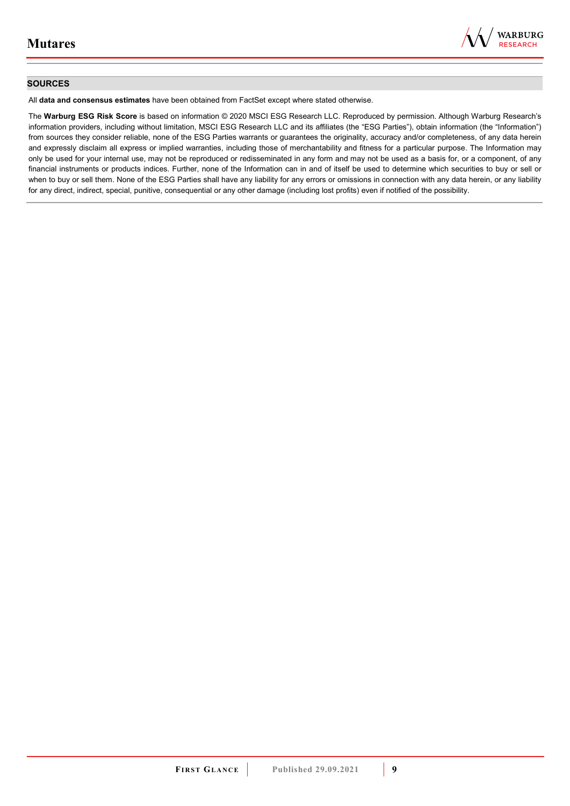

## **SOURCES**

All **data and consensus estimates** have been obtained from FactSet except where stated otherwise.

The **Warburg ESG Risk Score** is based on information © 2020 MSCI ESG Research LLC. Reproduced by permission. Although Warburg Research's information providers, including without limitation, MSCI ESG Research LLC and its affiliates (the "ESG Parties"), obtain information (the "Information") from sources they consider reliable, none of the ESG Parties warrants or guarantees the originality, accuracy and/or completeness, of any data herein and expressly disclaim all express or implied warranties, including those of merchantability and fitness for a particular purpose. The Information may only be used for your internal use, may not be reproduced or redisseminated in any form and may not be used as a basis for, or a component, of any financial instruments or products indices. Further, none of the Information can in and of itself be used to determine which securities to buy or sell or when to buy or sell them. None of the ESG Parties shall have any liability for any errors or omissions in connection with any data herein, or any liability for any direct, indirect, special, punitive, consequential or any other damage (including lost profits) even if notified of the possibility.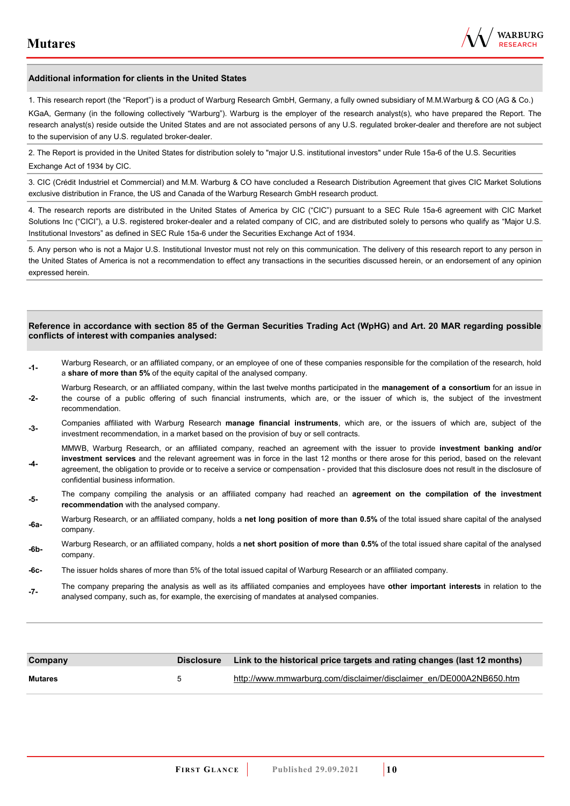

#### **Additional information for clients in the United States**

1. This research report (the "Report") is a product of Warburg Research GmbH, Germany, a fully owned subsidiary of M.M.Warburg & CO (AG & Co.)

KGaA, Germany (in the following collectively "Warburg"). Warburg is the employer of the research analyst(s), who have prepared the Report. The research analyst(s) reside outside the United States and are not associated persons of any U.S. regulated broker-dealer and therefore are not subject to the supervision of any U.S. regulated broker-dealer.

2. The Report is provided in the United States for distribution solely to "major U.S. institutional investors" under Rule 15a-6 of the U.S. Securities Exchange Act of 1934 by CIC.

3. CIC (Crédit Industriel et Commercial) and M.M. Warburg & CO have concluded a Research Distribution Agreement that gives CIC Market Solutions exclusive distribution in France, the US and Canada of the Warburg Research GmbH research product.

4. The research reports are distributed in the United States of America by CIC ("CIC") pursuant to a SEC Rule 15a-6 agreement with CIC Market Solutions Inc ("CICI"), a U.S. registered broker-dealer and a related company of CIC, and are distributed solely to persons who qualify as "Major U.S. Institutional Investors" as defined in SEC Rule 15a-6 under the Securities Exchange Act of 1934.

5. Any person who is not a Major U.S. Institutional Investor must not rely on this communication. The delivery of this research report to any person in the United States of America is not a recommendation to effect any transactions in the securities discussed herein, or an endorsement of any opinion expressed herein.

#### **Reference in accordance with section 85 of the German Securities Trading Act (WpHG) and Art. 20 MAR regarding possible conflicts of interest with companies analysed:**

- **-1-** Warburg Research, or an affiliated company, or an employee of one of these companies responsible for the compilation of the research, hold a **share of more than 5%** of the equity capital of the analysed company.
- **-2-**  Warburg Research, or an affiliated company, within the last twelve months participated in the **management of a consortium** for an issue in the course of a public offering of such financial instruments, which are, or the issuer of which is, the subject of the investment recommendation.
- **-3-** Companies affiliated with Warburg Research **manage financial instruments**, which are, or the issuers of which are, subject of the investment recommendation, in a market based on the provision of buy or sell contracts.

MMWB, Warburg Research, or an affiliated company, reached an agreement with the issuer to provide **investment banking and/or investment services** and the relevant agreement was in force in the last 12 months or there arose for this period, based on the relevant

- **-4**  agreement, the obligation to provide or to receive a service or compensation - provided that this disclosure does not result in the disclosure of confidential business information.
- **-5-** The company compiling the analysis or an affiliated company had reached an **agreement on the compilation of the investment recommendation** with the analysed company.
- **-6a-** Warburg Research, or an affiliated company, holds a **net long position of more than 0.5%** of the total issued share capital of the analysed company.
- **-6b-** Warburg Research, or an affiliated company, holds a **net short position of more than 0.5%** of the total issued share capital of the analysed company.
- **-6c-** The issuer holds shares of more than 5% of the total issued capital of Warburg Research or an affiliated company.
- **-7-** The company preparing the analysis as well as its affiliated companies and employees have **other important interests** in relation to the analysed company, such as, for example, the exercising of mandates at analysed companies.

| Company        |   | Disclosure Link to the historical price targets and rating changes (last 12 months) |
|----------------|---|-------------------------------------------------------------------------------------|
| <b>Mutares</b> | h | http://www.mmwarburg.com/disclaimer/disclaimer_en/DE000A2NB650.htm                  |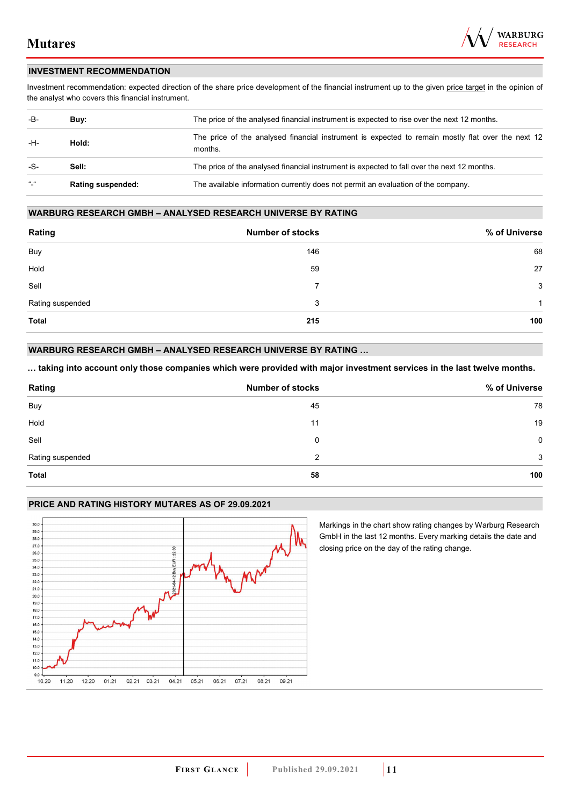

## **INVESTMENT RECOMMENDATION**

Investment recommendation: expected direction of the share price development of the financial instrument up to the given price target in the opinion of the analyst who covers this financial instrument.

| -B-             | Buy:                     | The price of the analysed financial instrument is expected to rise over the next 12 months.                  |
|-----------------|--------------------------|--------------------------------------------------------------------------------------------------------------|
| -H-             | Hold:                    | The price of the analysed financial instrument is expected to remain mostly flat over the next 12<br>months. |
| -S-             | Sell:                    | The price of the analysed financial instrument is expected to fall over the next 12 months.                  |
| $\frac{16}{16}$ | <b>Rating suspended:</b> | The available information currently does not permit an evaluation of the company.                            |

#### **WARBURG RESEARCH GMBH – ANALYSED RESEARCH UNIVERSE BY RATING**

| Rating           | <b>Number of stocks</b> | % of Universe |
|------------------|-------------------------|---------------|
| Buy              | 146                     | 68            |
| Hold             | 59                      | 27            |
| Sell             | 7                       | 3             |
| Rating suspended | 3                       | -1            |
| <b>Total</b>     | 215                     | 100           |

## **WARBURG RESEARCH GMBH – ANALYSED RESEARCH UNIVERSE BY RATING …**

**… taking into account only those companies which were provided with major investment services in the last twelve months.** 

| Rating           | <b>Number of stocks</b> | % of Universe |
|------------------|-------------------------|---------------|
| Buy              | 45                      | 78            |
| Hold             | 11                      | 19            |
| Sell             | 0                       | $\mathbf 0$   |
| Rating suspended | 2                       | 3             |
| Total            | 58                      | 100           |

#### **PRICE AND RATING HISTORY MUTARES AS OF 29.09.2021**



Markings in the chart show rating changes by Warburg Research GmbH in the last 12 months. Every marking details the date and closing price on the day of the rating change.